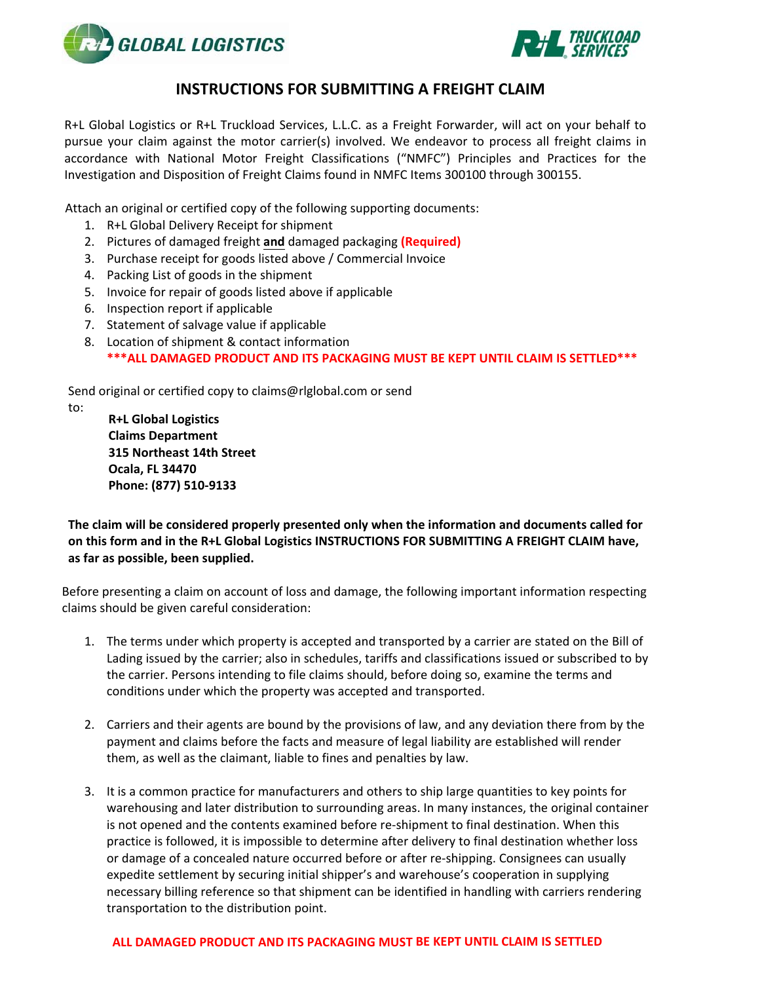



## **INSTRUCTIONS FOR SUBMITTING A FREIGHT CLAIM**

R+L Global Logistics or R+L Truckload Services, L.L.C. as a Freight Forwarder, will act on your behalf to pursue your claim against the motor carrier(s) involved. We endeavor to process all freight claims in accordance with National Motor Freight Classifications ("NMFC") Principles and Practices for the Investigation and Disposition of Freight Claims found in NMFC Items 300100 through 300155.

Attach an original or certified copy of the following supporting documents:

- 1. R+L Global Delivery Receipt for shipment
- 2. Pictures of damaged freight **and** damaged packaging **(Required)**
- 3. Purchase receipt for goods listed above / Commercial Invoice
- 4. Packing List of goods in the shipment
- 5. Invoice for repair of goods listed above if applicable
- 6. Inspection report if applicable
- 7. Statement of salvage value if applicable
- 8. Location of shipment & contact information

**\*\*\*ALL DAMAGED PRODUCT AND ITS PACKAGING MUST BE KEPT UNTIL CLAIM IS SETTLED\*\*\***

Send original or certified copy to claims@rlglobal.com or send to:

> **R+L Global Logistics Claims Department 315 Northeast 14th Street Ocala, FL 34470 Phone: (877) 510‐9133**

**The claim will be considered properly presented only when the information and documents called for on this form and in the R+L Global Logistics INSTRUCTIONS FOR SUBMITTING A FREIGHT CLAIM have, as far as possible, been supplied.** 

Before presenting a claim on account of loss and damage, the following important information respecting claims should be given careful consideration:

- 1. The terms under which property is accepted and transported by a carrier are stated on the Bill of Lading issued by the carrier; also in schedules, tariffs and classifications issued or subscribed to by the carrier. Persons intending to file claims should, before doing so, examine the terms and conditions under which the property was accepted and transported.
- 2. Carriers and their agents are bound by the provisions of law, and any deviation there from by the payment and claims before the facts and measure of legal liability are established will render them, as well as the claimant, liable to fines and penalties by law.
- 3. It is a common practice for manufacturers and others to ship large quantities to key points for warehousing and later distribution to surrounding areas. In many instances, the original container is not opened and the contents examined before re-shipment to final destination. When this practice is followed, it is impossible to determine after delivery to final destination whether loss or damage of a concealed nature occurred before or after re‐shipping. Consignees can usually expedite settlement by securing initial shipper's and warehouse's cooperation in supplying necessary billing reference so that shipment can be identified in handling with carriers rendering transportation to the distribution point.